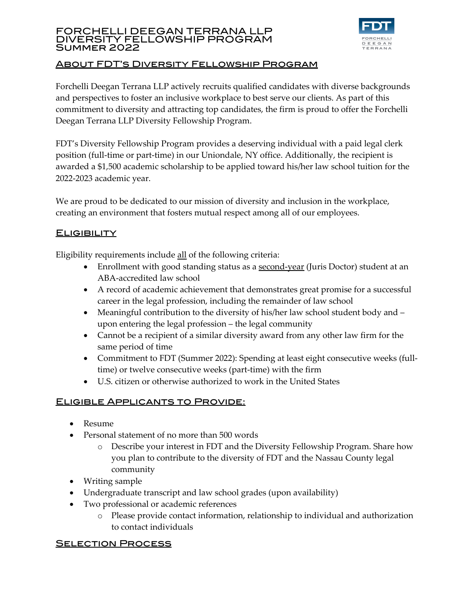#### FORCHELLI DEEGAN TERRANA LLP DIVERSITY FELLOWSHIP PROGRAM Summer 2022



## About FDT's Diversity Fellowship Program

Forchelli Deegan Terrana LLP actively recruits qualified candidates with diverse backgrounds and perspectives to foster an inclusive workplace to best serve our clients. As part of this commitment to diversity and attracting top candidates, the firm is proud to offer the Forchelli Deegan Terrana LLP Diversity Fellowship Program.

FDT's Diversity Fellowship Program provides a deserving individual with a paid legal clerk position (full-time or part-time) in our Uniondale, NY office. Additionally, the recipient is awarded a \$1,500 academic scholarship to be applied toward his/her law school tuition for the 2022-2023 academic year.

We are proud to be dedicated to our mission of diversity and inclusion in the workplace, creating an environment that fosters mutual respect among all of our employees.

# **ELIGIBILITY**

Eligibility requirements include all of the following criteria:

- Enrollment with good standing status as a second-year (Juris Doctor) student at an ABA-accredited law school
- A record of academic achievement that demonstrates great promise for a successful career in the legal profession, including the remainder of law school
- Meaningful contribution to the diversity of his/her law school student body and upon entering the legal profession – the legal community
- Cannot be a recipient of a similar diversity award from any other law firm for the same period of time
- Commitment to FDT (Summer 2022): Spending at least eight consecutive weeks (fulltime) or twelve consecutive weeks (part-time) with the firm
- U.S. citizen or otherwise authorized to work in the United States

# Eligible Applicants to Provide:

- Resume
- Personal statement of no more than 500 words
	- o Describe your interest in FDT and the Diversity Fellowship Program. Share how you plan to contribute to the diversity of FDT and the Nassau County legal community
- Writing sample
- Undergraduate transcript and law school grades (upon availability)
- Two professional or academic references
	- o Please provide contact information, relationship to individual and authorization to contact individuals

### **SELECTION PROCESS**